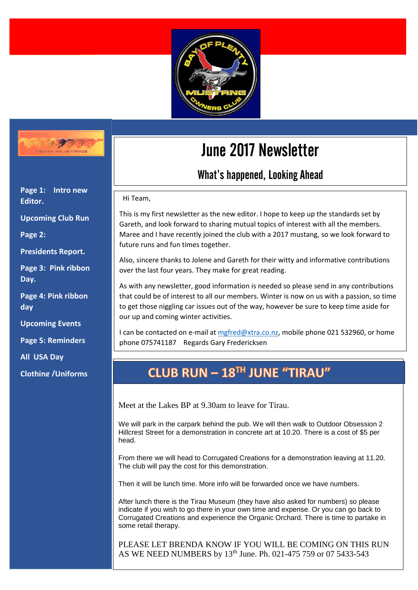



**Page 1: Intro new Editor.**

**Upcoming Club Run** 

**Page 2:**

**Presidents Report.**

**Page 3: Pink ribbon Day.**

**Page 4: Pink ribbon day** 

**Upcoming Events** 

**Page 5: Reminders**

**All USA Day**

**Clothing /Uniforms**

## June 2017 Newsletter

### What's happened, Looking Ahead

Hi Team,

This is my first newsletter as the new editor. I hope to keep up the standards set by Gareth, and look forward to sharing mutual topics of interest with all the members. Maree and I have recently joined the club with a 2017 mustang, so we look forward to future runs and fun times together.

Also, sincere thanks to Jolene and Gareth for their witty and informative contributions over the last four years. They make for great reading.

As with any newsletter, good information is needed so please send in any contributions that could be of interest to all our members. Winter is now on us with a passion, so time to get those niggling car issues out of the way, however be sure to keep time aside for our up and coming winter activities.

I can be contacted on e-mail a[t mgfred@xtra.co.nz,](mailto:mgfred@xtra.co.nz) mobile phone 021 532960, or home phone 075741187 Regards Gary Fredericksen

## CLUB RUN  $-18$ <sup>TH</sup> JUNE "TIRAU"

Meet at the Lakes BP at 9.30am to leave for Tirau.

 We will park in the carpark behind the pub. We will then walk to Outdoor Obsession 2 Hillcrest Street for a demonstration in concrete art at 10.20. There is a cost of \$5 per head.

From there we will head to Corrugated Creations for a demonstration leaving at 11.20. The club will pay the cost for this demonstration.

Then it will be lunch time. More info will be forwarded once we have numbers.

After lunch there is the Tirau Museum (they have also asked for numbers) so please indicate if you wish to go there in your own time and expense. Or you can go back to Corrugated Creations and experience the Organic Orchard. There is time to partake in some retail therapy.

PLEASE LET BRENDA KNOW IF YOU WILL BE COMING ON THIS RUN AS WE NEED NUMBERS by 13th June. Ph. 021-475 759 or 07 5433-543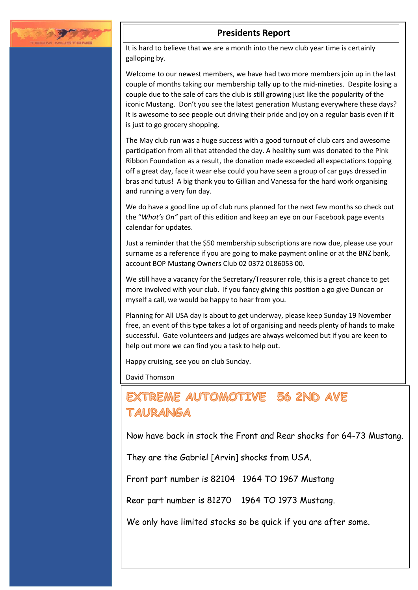#### **Presidents Report**



It is hard to believe that we are a month into the new club year time is certainly galloping by.

Welcome to our newest members, we have had two more members join up in the last couple of months taking our membership tally up to the mid-nineties. Despite losing a couple due to the sale of cars the club is still growing just like the popularity of the iconic Mustang. Don't you see the latest generation Mustang everywhere these days? It is awesome to see people out driving their pride and joy on a regular basis even if it is just to go grocery shopping.

The May club run was a huge success with a good turnout of club cars and awesome participation from all that attended the day. A healthy sum was donated to the Pink Ribbon Foundation as a result, the donation made exceeded all expectations topping off a great day, face it wear else could you have seen a group of car guys dressed in bras and tutus! A big thank you to Gillian and Vanessa for the hard work organising and running a very fun day.

We do have a good line up of club runs planned for the next few months so check out the "*What's On"* part of this edition and keep an eye on our Facebook page events calendar for updates.

Just a reminder that the \$50 membership subscriptions are now due, please use your surname as a reference if you are going to make payment online or at the BNZ bank, account BOP Mustang Owners Club 02 0372 0186053 00.

We still have a vacancy for the Secretary/Treasurer role, this is a great chance to get more involved with your club. If you fancy giving this position a go give Duncan or myself a call, we would be happy to hear from you.

Planning for All USA day is about to get underway, please keep Sunday 19 November free, an event of this type takes a lot of organising and needs plenty of hands to make successful. Gate volunteers and judges are always welcomed but if you are keen to help out more we can find you a task to help out.

Happy cruising, see you on club Sunday.

David Thomson

## **EXTREME AUTOMOTIVE 56 2ND AVE** TAURANGA

Now have back in stock the Front and Rear shocks for 64-73 Mustang.

They are the Gabriel [Arvin] shocks from USA.

Front part number is 82104 1964 TO 1967 Mustang

Rear part number is 81270 1964 TO 1973 Mustang.

We only have limited stocks so be quick if you are after some.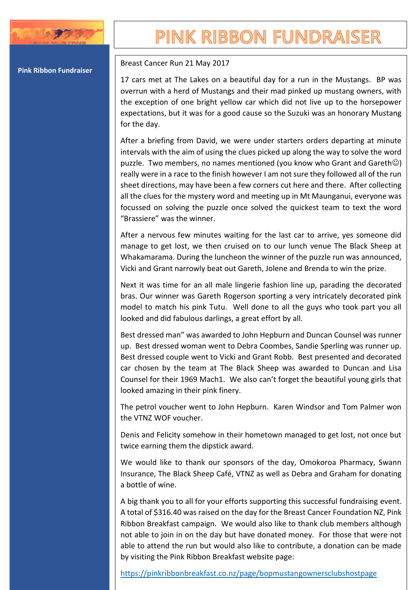

## PINK RIBBON FUNDRAISER

#### **Pink Ribbon Fundraiser**

Breast Cancer Run 21 May 2017

17 cars met at The Lakes on a beautiful day for a run in the Mustangs. BP was overrun with a herd of Mustangs and their mad pinked up mustang owners, with the exception of one bright yellow car which did not live up to the horsepower expectations, but it was for a good cause so the Suzuki was an honorary Mustang for the day.

After a briefing from David, we were under starters orders departing at minute intervals with the aim of using the clues picked up along the way to solve the word puzzle. Two members, no names mentioned (you know who Grant and Gareth $\circledcirc$ ) really were in a race to the finish however I am not sure they followed all of the run sheet directions, may have been a few corners cut here and there. After collecting all the clues for the mystery word and meeting up in Mt Maunganui, everyone was focussed on solving the puzzle once solved the quickest team to text the word "Brassiere" was the winner.

After a nervous few minutes waiting for the last car to arrive, yes someone did manage to get lost, we then cruised on to our lunch venue The Black Sheep at Whakamarama. During the luncheon the winner of the puzzle run was announced, Vicki and Grant narrowly beat out Gareth, Jolene and Brenda to win the prize.

Next it was time for an all male lingerie fashion line up, parading the decorated bras. Our winner was Gareth Rogerson sporting a very intricately decorated pink model to match his pink Tutu. Well done to all the guys who took part you all looked and did fabulous darlings, a great effort by all.

Best dressed man" was awarded to John Hepburn and Duncan Counsel was runner up. Best dressed woman went to Debra Coombes, Sandie Sperling was runner up. Best dressed couple went to Vicki and Grant Robb. Best presented and decorated car chosen by the team at The Black Sheep was awarded to Duncan and Lisa Counsel for their 1969 Mach1. We also can't forget the beautiful young girls that looked amazing in their pink finery.

The petrol voucher went to John Hepburn. Karen Windsor and Tom Palmer won the VTNZ WOF voucher.

Denis and Felicity somehow in their hometown managed to get lost, not once but twice earning them the dipstick award.

We would like to thank our sponsors of the day, Omokoroa Pharmacy, Swann Insurance, The Black Sheep Café, VTNZ as well as Debra and Graham for donating a bottle of wine.

A big thank you to all for your efforts supporting this successful fundraising event. A total of \$316.40 was raised on the day for the Breast Cancer Foundation NZ, Pink Ribbon Breakfast campaign. We would also like to thank club members although not able to join in on the day but have donated money. For those that were not able to attend the run but would also like to contribute, a donation can be made by visiting the Pink Ribbon Breakfast website page:

<https://pinkribbonbreakfast.co.nz/page/bopmustangownersclubshostpage>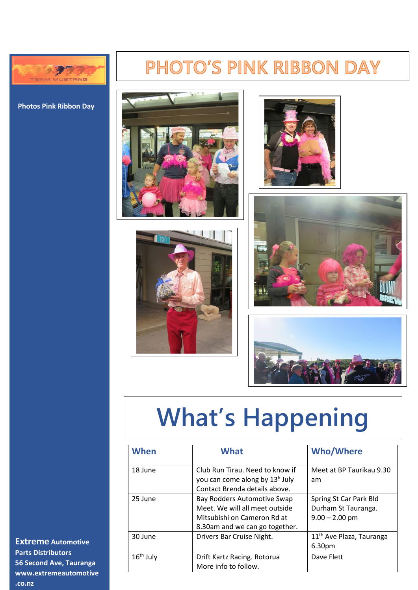

**Photos Pink Ribbon Day**

## PHOTO'S PINK RIBBON DAY











# **What's Happening**

| When        | <b>What</b>                                                                                                                    | <b>Who/Where</b>                                                  |
|-------------|--------------------------------------------------------------------------------------------------------------------------------|-------------------------------------------------------------------|
| 18 June     | Club Run Tirau. Need to know if<br>you can come along by 13 <sup>h</sup> July<br>Contact Brenda details above.                 | Meet at BP Taurikau 9.30<br>am                                    |
| 25 June     | Bay Rodders Automotive Swap<br>Meet. We will all meet outside<br>Mitsubishi on Cameron Rd at<br>8.30am and we can go together. | Spring St Car Park Bld<br>Durham St Tauranga.<br>$9.00 - 2.00$ pm |
| 30 June     | Drivers Bar Cruise Night.                                                                                                      | 11 <sup>th</sup> Ave Plaza, Tauranga<br>6.30pm                    |
| $16th$ July | Drift Kartz Racing. Rotorua<br>More info to follow.                                                                            | Dave Flett                                                        |

**Extreme Automotive** 

**Parts Distributors 56 Second Ave, Tauranga www.extremeautomotive .co.nz**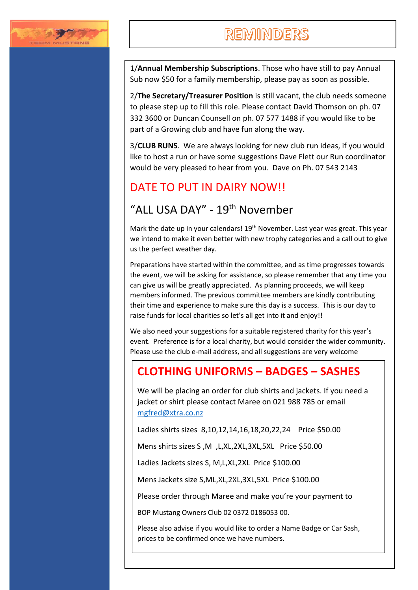

## REMINDERS

1/**Annual Membership Subscriptions**. Those who have still to pay Annual Sub now \$50 for a family membership, please pay as soon as possible.

2/**The Secretary/Treasurer Position** is still vacant, the club needs someone to please step up to fill this role. Please contact David Thomson on ph. 07 332 3600 or Duncan Counsell on ph. 07 577 1488 if you would like to be part of a Growing club and have fun along the way.

3/**CLUB RUNS**. We are always looking for new club run ideas, if you would like to host a run or have some suggestions Dave Flett our Run coordinator would be very pleased to hear from you. Dave on Ph. 07 543 2143

## DATE TO PUT IN DAIRY NOW!!

### "ALL USA DAY" - 19th November

Mark the date up in your calendars! 19<sup>th</sup> November. Last year was great. This year we intend to make it even better with new trophy categories and a call out to give us the perfect weather day.

Preparations have started within the committee, and as time progresses towards the event, we will be asking for assistance, so please remember that any time you can give us will be greatly appreciated. As planning proceeds, we will keep members informed. The previous committee members are kindly contributing their time and experience to make sure this day is a success. This is our day to raise funds for local charities so let's all get into it and enjoy!!

We also need your suggestions for a suitable registered charity for this year's event. Preference is for a local charity, but would consider the wider community. Please use the club e-mail address, and all suggestions are very welcome

### **CLOTHING UNIFORMS – BADGES – SASHES**

We will be placing an order for club shirts and jackets. If you need a jacket or shirt please contact Maree on 021 988 785 or email [mgfred@xtra.co.nz](mailto:mgfred@xtra.co.nz)

Ladies shirts sizes 8,10,12,14,16,18,20,22,24 Price \$50.00

Mens shirts sizes S ,M ,L,XL,2XL,3XL,5XL Price \$50.00

Ladies Jackets sizes S, M,L,XL,2XL Price \$100.00

Mens Jackets size S,ML,XL,2XL,3XL,5XL Price \$100.00

Please order through Maree and make you're your payment to

BOP Mustang Owners Club 02 0372 0186053 00.

Please also advise if you would like to order a Name Badge or Car Sash, prices to be confirmed once we have numbers.